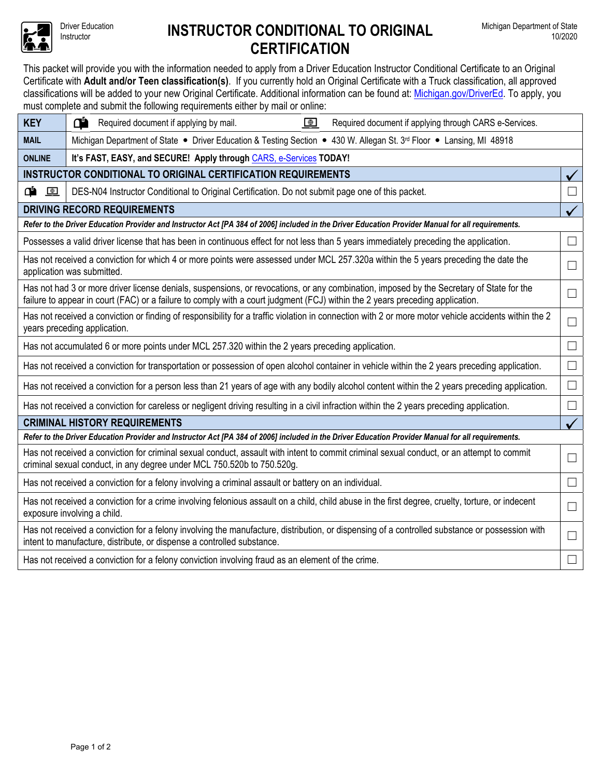

## Driver Education **INSTRUCTOR CONDITIONAL TO ORIGINAL CERTIFICATION**

This packet will provide you with the information needed to apply from a Driver Education Instructor Conditional Certificate to an Original Certificate with **Adult and/or Teen classification(s)**. If you currently hold an Original Certificate with a Truck classification, all approved classifications will be added to your new Original Certificate. Additional information can be found at: Michigan.gov/DriverEd. To apply, you must complete and submit the following requirements either by mail or online:

| <b>KEY</b>                                                                                                                                                                                                                                                                | œ<br>$\bigoplus$<br>Required document if applying by mail.<br>Required document if applying through CARS e-Services.                                                                                                     |   |  |  |  |  |  |  |
|---------------------------------------------------------------------------------------------------------------------------------------------------------------------------------------------------------------------------------------------------------------------------|--------------------------------------------------------------------------------------------------------------------------------------------------------------------------------------------------------------------------|---|--|--|--|--|--|--|
| <b>MAIL</b>                                                                                                                                                                                                                                                               | Michigan Department of State • Driver Education & Testing Section • 430 W. Allegan St. 3 <sup>rd</sup> Floor • Lansing, MI 48918                                                                                         |   |  |  |  |  |  |  |
| <b>ONLINE</b><br>It's FAST, EASY, and SECURE! Apply through CARS, e-Services TODAY!                                                                                                                                                                                       |                                                                                                                                                                                                                          |   |  |  |  |  |  |  |
| INSTRUCTOR CONDITIONAL TO ORIGINAL CERTIFICATION REQUIREMENTS                                                                                                                                                                                                             |                                                                                                                                                                                                                          |   |  |  |  |  |  |  |
| <u>අ ම</u>                                                                                                                                                                                                                                                                | DES-N04 Instructor Conditional to Original Certification. Do not submit page one of this packet.                                                                                                                         | H |  |  |  |  |  |  |
| <b>DRIVING RECORD REQUIREMENTS</b><br>$\checkmark$                                                                                                                                                                                                                        |                                                                                                                                                                                                                          |   |  |  |  |  |  |  |
| Refer to the Driver Education Provider and Instructor Act [PA 384 of 2006] included in the Driver Education Provider Manual for all requirements.                                                                                                                         |                                                                                                                                                                                                                          |   |  |  |  |  |  |  |
| Possesses a valid driver license that has been in continuous effect for not less than 5 years immediately preceding the application.<br>$\vert \ \ \vert$                                                                                                                 |                                                                                                                                                                                                                          |   |  |  |  |  |  |  |
| Has not received a conviction for which 4 or more points were assessed under MCL 257.320a within the 5 years preceding the date the<br>application was submitted.                                                                                                         |                                                                                                                                                                                                                          |   |  |  |  |  |  |  |
| Has not had 3 or more driver license denials, suspensions, or revocations, or any combination, imposed by the Secretary of State for the<br>failure to appear in court (FAC) or a failure to comply with a court judgment (FCJ) within the 2 years preceding application. |                                                                                                                                                                                                                          |   |  |  |  |  |  |  |
| Has not received a conviction or finding of responsibility for a traffic violation in connection with 2 or more motor vehicle accidents within the 2<br>years preceding application.                                                                                      |                                                                                                                                                                                                                          |   |  |  |  |  |  |  |
| Has not accumulated 6 or more points under MCL 257.320 within the 2 years preceding application.                                                                                                                                                                          |                                                                                                                                                                                                                          |   |  |  |  |  |  |  |
| Has not received a conviction for transportation or possession of open alcohol container in vehicle within the 2 years preceding application.                                                                                                                             |                                                                                                                                                                                                                          |   |  |  |  |  |  |  |
| Has not received a conviction for a person less than 21 years of age with any bodily alcohol content within the 2 years preceding application.                                                                                                                            |                                                                                                                                                                                                                          |   |  |  |  |  |  |  |
| Has not received a conviction for careless or negligent driving resulting in a civil infraction within the 2 years preceding application.                                                                                                                                 |                                                                                                                                                                                                                          |   |  |  |  |  |  |  |
| <b>CRIMINAL HISTORY REQUIREMENTS</b>                                                                                                                                                                                                                                      |                                                                                                                                                                                                                          |   |  |  |  |  |  |  |
| Refer to the Driver Education Provider and Instructor Act [PA 384 of 2006] included in the Driver Education Provider Manual for all requirements.                                                                                                                         |                                                                                                                                                                                                                          |   |  |  |  |  |  |  |
| Has not received a conviction for criminal sexual conduct, assault with intent to commit criminal sexual conduct, or an attempt to commit<br>criminal sexual conduct, in any degree under MCL 750.520b to 750.520g.                                                       |                                                                                                                                                                                                                          |   |  |  |  |  |  |  |
| Has not received a conviction for a felony involving a criminal assault or battery on an individual.                                                                                                                                                                      |                                                                                                                                                                                                                          |   |  |  |  |  |  |  |
| Has not received a conviction for a crime involving felonious assault on a child, child abuse in the first degree, cruelty, torture, or indecent<br>exposure involving a child.                                                                                           |                                                                                                                                                                                                                          |   |  |  |  |  |  |  |
|                                                                                                                                                                                                                                                                           | Has not received a conviction for a felony involving the manufacture, distribution, or dispensing of a controlled substance or possession with<br>intent to manufacture, distribute, or dispense a controlled substance. |   |  |  |  |  |  |  |
| Has not received a conviction for a felony conviction involving fraud as an element of the crime.                                                                                                                                                                         |                                                                                                                                                                                                                          |   |  |  |  |  |  |  |